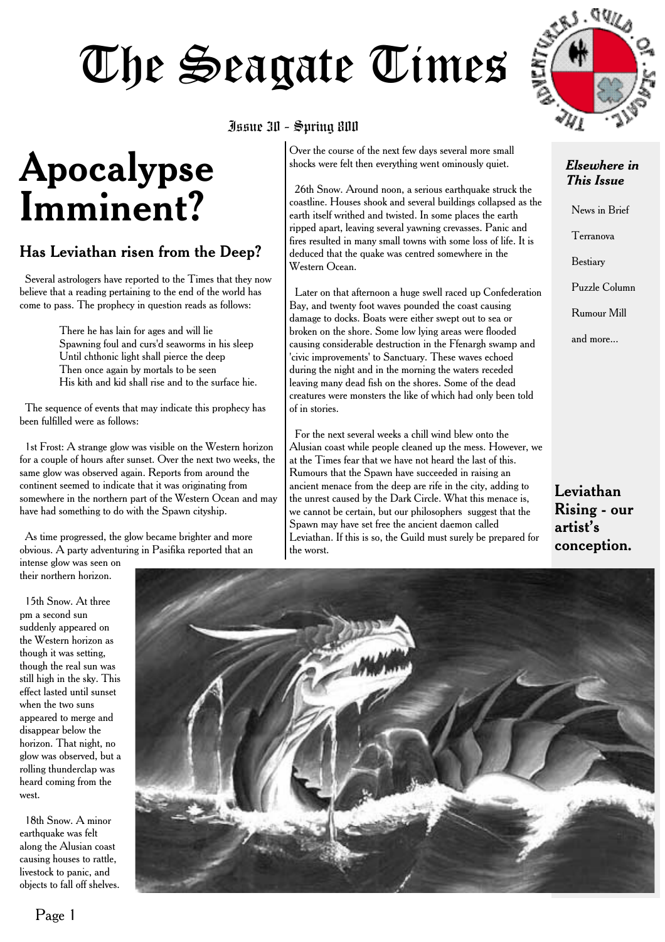## The Seagate Times

### **Apocalypse Imminent?**

### Has Leviathan risen from the Deep?

Several astrologers have reported to the Times that they now believe that a reading pertaining to the end of the world has come to pass. The prophecy in question reads as follows:

> There he has lain for ages and will lie Spawning foul and curs'd seaworms in his sleep Until chthonic light shall pierce the deep Then once again by mortals to be seen His kith and kid shall rise and to the surface hie.

The sequence of events that may indicate this prophecy has been fulfilled were as follows:

1st Frost: A strange glow was visible on the Western horizon for a couple of hours after sunset. Over the next two weeks, the same glow was observed again. Reports from around the continent seemed to indicate that it was originating from somewhere in the northern part of the Western Ocean and may have had something to do with the Spawn cityship.

As time progressed, the glow became brighter and more obvious. A party adventuring in Pasifika reported that an

intense glow was seen on their northern horizon.

15th Snow. At three pm a second sun suddenly appeared on the Western horizon as though it was setting, though the real sun was still high in the sky. This effect lasted until sunset when the two suns appeared to merge and disappear below the horizon. That night, no glow was observed, but a rolling thunderclap was heard coming from the west.

18th Snow. A minor earthquake was felt along the Alusian coast causing houses to rattle, livestock to panic, and objects to fall off shelves.

#### Issue 30 - Spring 800

Over the course of the next few days several more small shocks were felt then everything went ominously quiet.

26th Snow. Around noon, a serious earthquake struck the coastline. Houses shook and several buildings collapsed as the earth itself writhed and twisted. In some places the earth ripped apart, leaving several yawning crevasses. Panic and fires resulted in many small towns with some loss of life. It is deduced that the quake was centred somewhere in the Western Ocean.

Later on that afternoon a huge swell raced up Confederation Bay, and twenty foot waves pounded the coast causing damage to docks. Boats were either swept out to sea or broken on the shore. Some low lying areas were flooded causing considerable destruction in the Ffenargh swamp and 'civic improvements' to Sanctuary. These waves echoed during the night and in the morning the waters receded leaving many dead fish on the shores. Some of the dead creatures were monsters the like of which had only been told of in stories.

For the next several weeks a chill wind blew onto the Alusian coast while people cleaned up the mess. However, we at the Times fear that we have not heard the last of this. Rumours that the Spawn have succeeded in raising an ancient menace from the deep are rife in the city, adding to the unrest caused by the Dark Circle. What this menace is, we cannot be certain, but our philosophers suggest that the Spawn may have set free the ancient daemon called Leviathan. If this is so, the Guild must surely be prepared for the worst.



#### *Elsewhere in This Issue*

News in Brief Terranova Bestiary Puzzle Column Rumour Mill and more...

Leviathan Rising - our artist's conception.

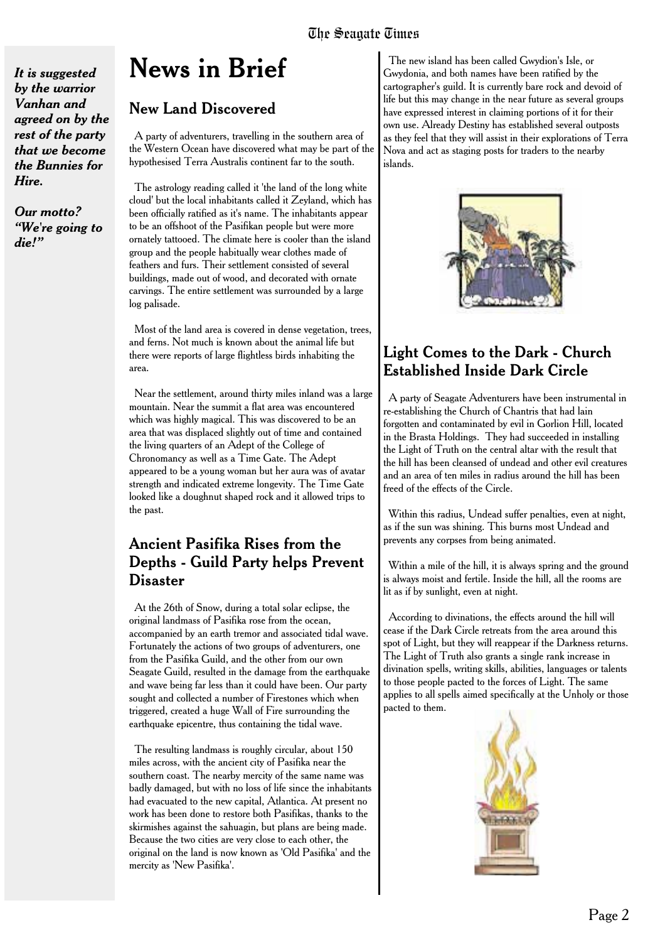*It is suggested by the warrior Vanhan and agreed on by the rest of the party that we become the Bunnies for Hire.*

*Our motto? "We're going to die!"*

### **News in Brief**

### New Land Discovered

A party of adventurers, travelling in the southern area of the Western Ocean have discovered what may be part of the hypothesised Terra Australis continent far to the south.

The astrology reading called it 'the land of the long white cloud' but the local inhabitants called it Zeyland, which has been officially ratified as it's name. The inhabitants appear to be an offshoot of the Pasifikan people but were more ornately tattooed. The climate here is cooler than the island group and the people habitually wear clothes made of feathers and furs. Their settlement consisted of several buildings, made out of wood, and decorated with ornate carvings. The entire settlement was surrounded by a large log palisade.

Most of the land area is covered in dense vegetation, trees, and ferns. Not much is known about the animal life but there were reports of large flightless birds inhabiting the area.

Near the settlement, around thirty miles inland was a large mountain. Near the summit a flat area was encountered which was highly magical. This was discovered to be an area that was displaced slightly out of time and contained the living quarters of an Adept of the College of Chronomancy as well as a Time Gate. The Adept appeared to be a young woman but her aura was of avatar strength and indicated extreme longevity. The Time Gate looked like a doughnut shaped rock and it allowed trips to the past.

### Ancient Pasifika Rises from the Depths - Guild Party helps Prevent Disaster

At the 26th of Snow, during a total solar eclipse, the original landmass of Pasifika rose from the ocean, accompanied by an earth tremor and associated tidal wave. Fortunately the actions of two groups of adventurers, one from the Pasifika Guild, and the other from our own Seagate Guild, resulted in the damage from the earthquake and wave being far less than it could have been. Our party sought and collected a number of Firestones which when triggered, created a huge Wall of Fire surrounding the earthquake epicentre, thus containing the tidal wave.

The resulting landmass is roughly circular, about 150 miles across, with the ancient city of Pasifika near the southern coast. The nearby mercity of the same name was badly damaged, but with no loss of life since the inhabitants had evacuated to the new capital, Atlantica. At present no work has been done to restore both Pasifikas, thanks to the skirmishes against the sahuagin, but plans are being made. Because the two cities are very close to each other, the original on the land is now known as 'Old Pasifika' and the mercity as 'New Pasifika'.

The new island has been called Gwydion's Isle, or Gwydonia, and both names have been ratified by the cartographer's guild. It is currently bare rock and devoid of life but this may change in the near future as several groups have expressed interest in claiming portions of it for their own use. Already Destiny has established several outposts as they feel that they will assist in their explorations of Terra Nova and act as staging posts for traders to the nearby islands.



### Light Comes to the Dark - Church Established Inside Dark Circle

A party of Seagate Adventurers have been instrumental in re-establishing the Church of Chantris that had lain forgotten and contaminated by evil in Gorlion Hill, located in the Brasta Holdings. They had succeeded in installing the Light of Truth on the central altar with the result that the hill has been cleansed of undead and other evil creatures and an area of ten miles in radius around the hill has been freed of the effects of the Circle.

Within this radius, Undead suffer penalties, even at night, as if the sun was shining. This burns most Undead and prevents any corpses from being animated.

Within a mile of the hill, it is always spring and the ground is always moist and fertile. Inside the hill, all the rooms are lit as if by sunlight, even at night.

According to divinations, the effects around the hill will cease if the Dark Circle retreats from the area around this spot of Light, but they will reappear if the Darkness returns. The Light of Truth also grants a single rank increase in divination spells, writing skills, abilities, languages or talents to those people pacted to the forces of Light. The same applies to all spells aimed specifically at the Unholy or those pacted to them.

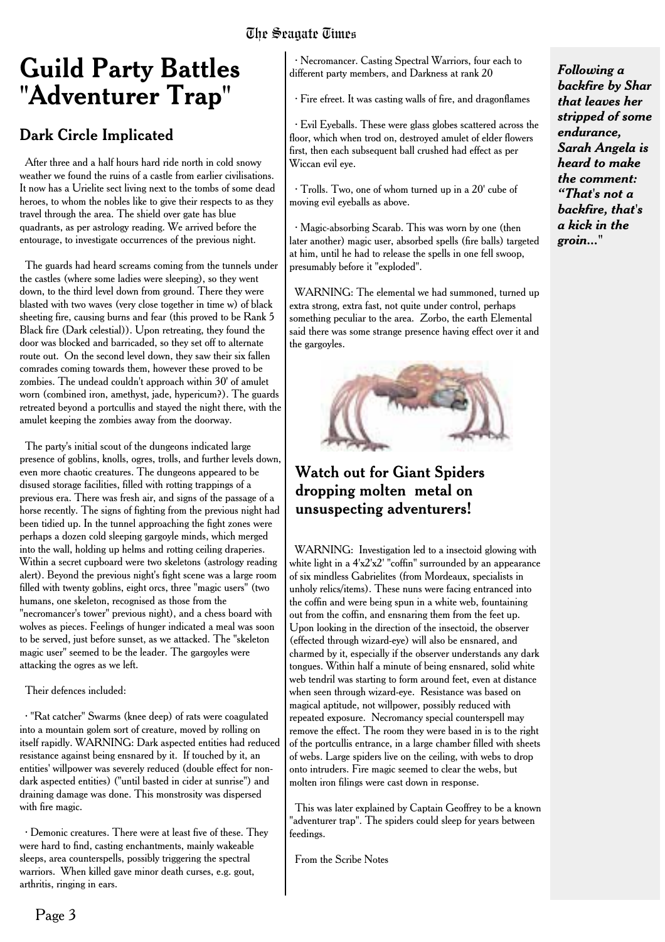#### The Seagate Times

### **Guild Party Battles "Adventurer Trap"**

### Dark Circle Implicated

After three and a half hours hard ride north in cold snowy weather we found the ruins of a castle from earlier civilisations. It now has a Urielite sect living next to the tombs of some dead heroes, to whom the nobles like to give their respects to as they travel through the area. The shield over gate has blue quadrants, as per astrology reading. We arrived before the entourage, to investigate occurrences of the previous night.

The guards had heard screams coming from the tunnels under the castles (where some ladies were sleeping), so they went down, to the third level down from ground. There they were blasted with two waves (very close together in time w) of black sheeting fire, causing burns and fear (this proved to be Rank 5 Black fire (Dark celestial)). Upon retreating, they found the door was blocked and barricaded, so they set off to alternate route out. On the second level down, they saw their six fallen comrades coming towards them, however these proved to be zombies. The undead couldn't approach within 30' of amulet worn (combined iron, amethyst, jade, hypericum?). The guards retreated beyond a portcullis and stayed the night there, with the amulet keeping the zombies away from the doorway.

The party's initial scout of the dungeons indicated large presence of goblins, knolls, ogres, trolls, and further levels down, even more chaotic creatures. The dungeons appeared to be disused storage facilities, filled with rotting trappings of a previous era. There was fresh air, and signs of the passage of a horse recently. The signs of fighting from the previous night had been tidied up. In the tunnel approaching the fight zones were perhaps a dozen cold sleeping gargoyle minds, which merged into the wall, holding up helms and rotting ceiling draperies. Within a secret cupboard were two skeletons (astrology reading alert). Beyond the previous night's fight scene was a large room filled with twenty goblins, eight orcs, three "magic users" (two humans, one skeleton, recognised as those from the "necromancer's tower" previous night), and a chess board with wolves as pieces. Feelings of hunger indicated a meal was soon to be served, just before sunset, as we attacked. The "skeleton magic user" seemed to be the leader. The gargoyles were attacking the ogres as we left.

Their defences included:

· "Rat catcher" Swarms (knee deep) of rats were coagulated into a mountain golem sort of creature, moved by rolling on itself rapidly. WARNING: Dark aspected entities had reduced resistance against being ensnared by it. If touched by it, an entities' willpower was severely reduced (double effect for nondark aspected entities) ("until basted in cider at sunrise") and draining damage was done. This monstrosity was dispersed with fire magic.

· Demonic creatures. There were at least five of these. They were hard to find, casting enchantments, mainly wakeable sleeps, area counterspells, possibly triggering the spectral warriors. When killed gave minor death curses, e.g. gout, arthritis, ringing in ears.

· Necromancer. Casting Spectral Warriors, four each to different party members, and Darkness at rank 20

· Fire efreet. It was casting walls of fire, and dragonflames

· Evil Eyeballs. These were glass globes scattered across the floor, which when trod on, destroyed amulet of elder flowers first, then each subsequent ball crushed had effect as per Wiccan evil eye.

· Trolls. Two, one of whom turned up in a 20' cube of moving evil eyeballs as above.

· Magic-absorbing Scarab. This was worn by one (then later another) magic user, absorbed spells (fire balls) targeted at him, until he had to release the spells in one fell swoop, presumably before it "exploded".

WARNING: The elemental we had summoned, turned up extra strong, extra fast, not quite under control, perhaps something peculiar to the area. Zorbo, the earth Elemental said there was some strange presence having effect over it and the gargoyles.



### Watch out for Giant Spiders dropping molten metal on unsuspecting adventurers!

WARNING: Investigation led to a insectoid glowing with white light in a 4'x2'x2' "coffin" surrounded by an appearance of six mindless Gabrielites (from Mordeaux, specialists in unholy relics/items). These nuns were facing entranced into the coffin and were being spun in a white web, fountaining out from the coffin, and ensnaring them from the feet up. Upon looking in the direction of the insectoid, the observer (effected through wizard-eye) will also be ensnared, and charmed by it, especially if the observer understands any dark tongues. Within half a minute of being ensnared, solid white web tendril was starting to form around feet, even at distance when seen through wizard-eye. Resistance was based on magical aptitude, not willpower, possibly reduced with repeated exposure. Necromancy special counterspell may remove the effect. The room they were based in is to the right of the portcullis entrance, in a large chamber filled with sheets of webs. Large spiders live on the ceiling, with webs to drop onto intruders. Fire magic seemed to clear the webs, but molten iron filings were cast down in response.

This was later explained by Captain Geoffrey to be a known "adventurer trap". The spiders could sleep for years between feedings.

From the Scribe Notes

*Following a backfire by Shar that leaves her stripped of some endurance, Sarah Angela is heard to make the comment: "That's not a backfire, that's a kick in the groin..."*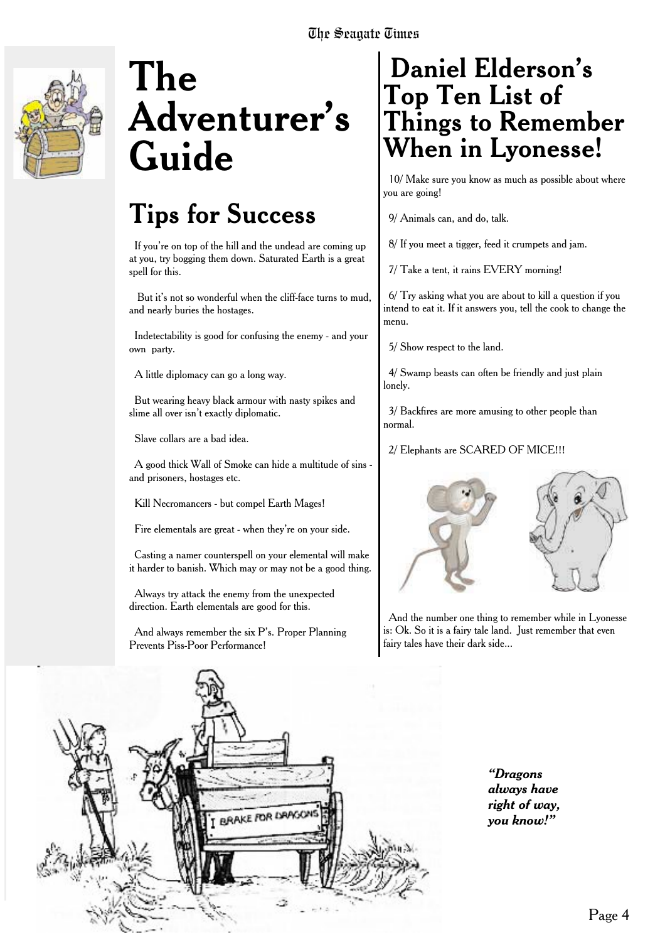

### **The Adventurer's Guide**

### **Tips for Success**

If you're on top of the hill and the undead are coming up at you, try bogging them down. Saturated Earth is a great spell for this.

But it's not so wonderful when the cliff-face turns to mud, and nearly buries the hostages.

Indetectability is good for confusing the enemy - and your own party.

A little diplomacy can go a long way.

But wearing heavy black armour with nasty spikes and slime all over isn't exactly diplomatic.

Slave collars are a bad idea.

A good thick Wall of Smoke can hide a multitude of sins and prisoners, hostages etc.

Kill Necromancers - but compel Earth Mages!

Fire elementals are great - when they're on your side.

Casting a namer counterspell on your elemental will make it harder to banish. Which may or may not be a good thing.

Always try attack the enemy from the unexpected direction. Earth elementals are good for this.

And always remember the six P's. Proper Planning Prevents Piss-Poor Performance!

### **Daniel Elderson's Top Ten List of Things to Remember When in Lyonesse!**

10/ Make sure you know as much as possible about where you are going!

9/ Animals can, and do, talk.

8/ If you meet a tigger, feed it crumpets and jam.

7/ Take a tent, it rains EVERY morning!

6/ Try asking what you are about to kill a question if you intend to eat it. If it answers you, tell the cook to change the menu.

5/ Show respect to the land.

4/ Swamp beasts can often be friendly and just plain lonely.

3/ Backfires are more amusing to other people than normal.

2/ Elephants are SCARED OF MICE!!!





And the number one thing to remember while in Lyonesse is: Ok. So it is a fairy tale land. Just remember that even fairy tales have their dark side...



*"Dragons always have right of way, you know!"*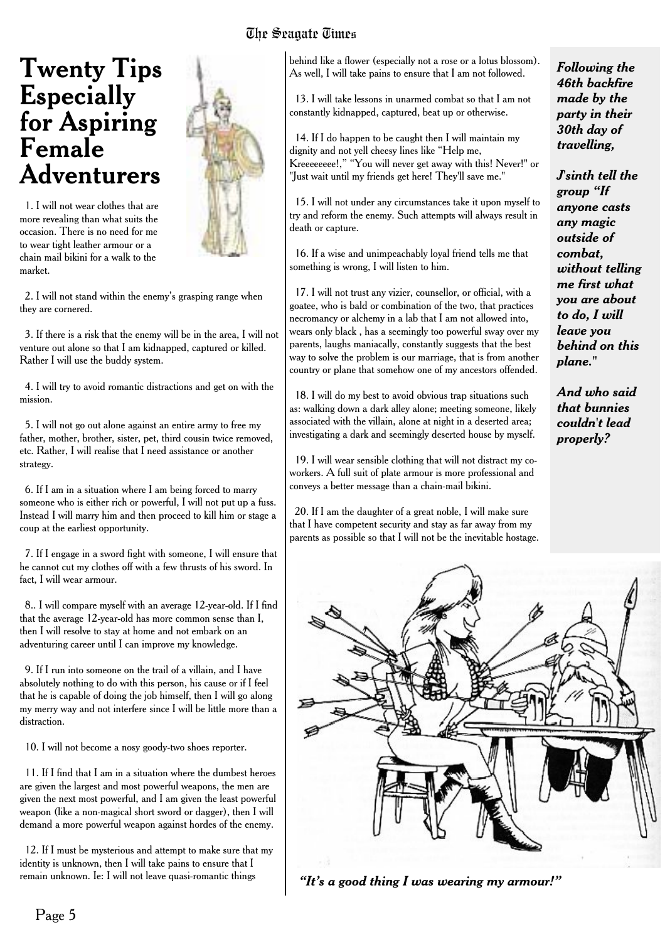# **Twenty Tips**

The Seagate Times

1. I will not wear clothes that are more revealing than what suits the occasion. There is no need for me to wear tight leather armour or a chain mail bikini for a walk to the market.

2. I will not stand within the enemy's grasping range when they are cornered.

3. If there is a risk that the enemy will be in the area, I will not venture out alone so that I am kidnapped, captured or killed. Rather I will use the buddy system.

4. I will try to avoid romantic distractions and get on with the mission.

5. I will not go out alone against an entire army to free my father, mother, brother, sister, pet, third cousin twice removed, etc. Rather, I will realise that I need assistance or another strategy.

6. If I am in a situation where I am being forced to marry someone who is either rich or powerful, I will not put up a fuss. Instead I will marry him and then proceed to kill him or stage a coup at the earliest opportunity.

7. If I engage in a sword fight with someone, I will ensure that he cannot cut my clothes off with a few thrusts of his sword. In fact, I will wear armour.

8.. I will compare myself with an average 12-year-old. If I find that the average 12-year-old has more common sense than I, then I will resolve to stay at home and not embark on an adventuring career until I can improve my knowledge.

9. If I run into someone on the trail of a villain, and I have absolutely nothing to do with this person, his cause or if I feel that he is capable of doing the job himself, then I will go along my merry way and not interfere since I will be little more than a distraction.

10. I will not become a nosy goody-two shoes reporter.

11. If I find that I am in a situation where the dumbest heroes are given the largest and most powerful weapons, the men are given the next most powerful, and I am given the least powerful weapon (like a non-magical short sword or dagger), then I will demand a more powerful weapon against hordes of the enemy.

12. If I must be mysterious and attempt to make sure that my identity is unknown, then I will take pains to ensure that I remain unknown. Ie: I will not leave quasi-romantic things

#### behind like a flower (especially not a rose or a lotus blossom). As well, I will take pains to ensure that I am not followed.

13. I will take lessons in unarmed combat so that I am not constantly kidnapped, captured, beat up or otherwise.

14. If I do happen to be caught then I will maintain my dignity and not yell cheesy lines like "Help me, Kreeeeeeee!," "You will never get away with this! Never!" or "Just wait until my friends get here! They'll save me."

15. I will not under any circumstances take it upon myself to try and reform the enemy. Such attempts will always result in death or capture.

16. If a wise and unimpeachably loyal friend tells me that something is wrong, I will listen to him.

17. I will not trust any vizier, counsellor, or official, with a goatee, who is bald or combination of the two, that practices necromancy or alchemy in a lab that I am not allowed into, wears only black , has a seemingly too powerful sway over my parents, laughs maniacally, constantly suggests that the best way to solve the problem is our marriage, that is from another country or plane that somehow one of my ancestors offended.

18. I will do my best to avoid obvious trap situations such as: walking down a dark alley alone; meeting someone, likely associated with the villain, alone at night in a deserted area; investigating a dark and seemingly deserted house by myself.

19. I will wear sensible clothing that will not distract my coworkers. A full suit of plate armour is more professional and conveys a better message than a chain-mail bikini.

20. If I am the daughter of a great noble, I will make sure that I have competent security and stay as far away from my parents as possible so that I will not be the inevitable hostage. *Following the 46th backfire made by the party in their 30th day of travelling,*

*J'sinth tell the group "If anyone casts any magic outside of combat, without telling me first what you are about to do, I will leave you behind on this plane."*

*And who said that bunnies couldn't lead properly?*



*"It's a good thing I was wearing my armour!"*

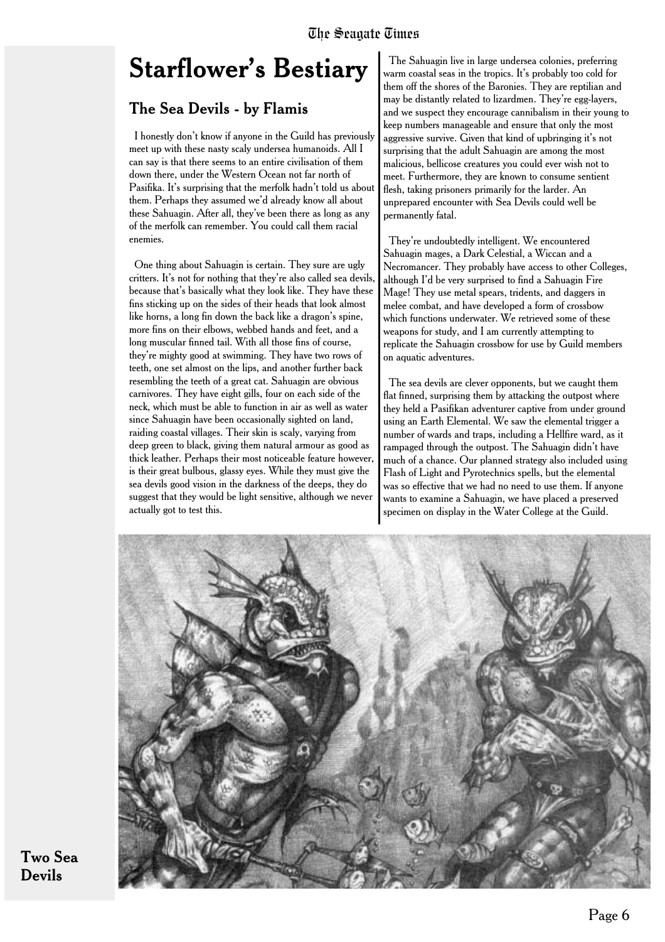### **Starflower's Bestiary**

#### The Sea Devils - by Flamis

I honestly don't know if anyone in the Guild has previously meet up with these nasty scaly undersea humanoids. All I can say is that there seems to an entire civilisation of them down there, under the Western Ocean not far north of Pasifika. It's surprising that the merfolk hadn't told us about them. Perhaps they assumed we'd already know all about these Sahuagin. After all, they've been there as long as any of the merfolk can remember. You could call them racial enemies.

One thing about Sahuagin is certain. They sure are ugly critters. It's not for nothing that they're also called sea devils, because that's basically what they look like. They have these fins sticking up on the sides of their heads that look almost like horns, a long fin down the back like a dragon's spine, more fins on their elbows, webbed hands and feet, and a long muscular finned tail. With all those fins of course, they're mighty good at swimming. They have two rows of teeth, one set almost on the lips, and another further back resembling the teeth of a great cat. Sahuagin are obvious carnivores. They have eight gills, four on each side of the neck, which must be able to function in air as well as water since Sahuagin have been occasionally sighted on land, raiding coastal villages. Their skin is scaly, varying from deep green to black, giving them natural armour as good as thick leather. Perhaps their most noticeable feature however, is their great bulbous, glassy eyes. While they must give the sea devils good vision in the darkness of the deeps, they do suggest that they would be light sensitive, although we never actually got to test this.

The Sahuagin live in large undersea colonies, preferring warm coastal seas in the tropics. It's probably too cold for them off the shores of the Baronies. They are reptilian and may be distantly related to lizardmen. They're egg-layers, and we suspect they encourage cannibalism in their young to keep numbers manageable and ensure that only the most aggressive survive. Given that kind of upbringing it's not surprising that the adult Sahuagin are among the most malicious, bellicose creatures you could ever wish not to meet. Furthermore, they are known to consume sentient flesh, taking prisoners primarily for the larder. An unprepared encounter with Sea Devils could well be permanently fatal.

They're undoubtedly intelligent. We encountered Sahuagin mages, a Dark Celestial, a Wiccan and a Necromancer. They probably have access to other Colleges, although I'd be very surprised to find a Sahuagin Fire Mage! They use metal spears, tridents, and daggers in melee combat, and have developed a form of crossbow which functions underwater. We retrieved some of these weapons for study, and I am currently attempting to replicate the Sahuagin crossbow for use by Guild members on aquatic adventures.

The sea devils are clever opponents, but we caught them flat finned, surprising them by attacking the outpost where they held a Pasifikan adventurer captive from under ground using an Earth Elemental. We saw the elemental trigger a number of wards and traps, including a Hellfire ward, as it rampaged through the outpost. The Sahuagin didn't have much of a chance. Our planned strategy also included using Flash of Light and Pyrotechnics spells, but the elemental was so effective that we had no need to use them. If anyone wants to examine a Sahuagin, we have placed a preserved specimen on display in the Water College at the Guild.



Two Sea Devils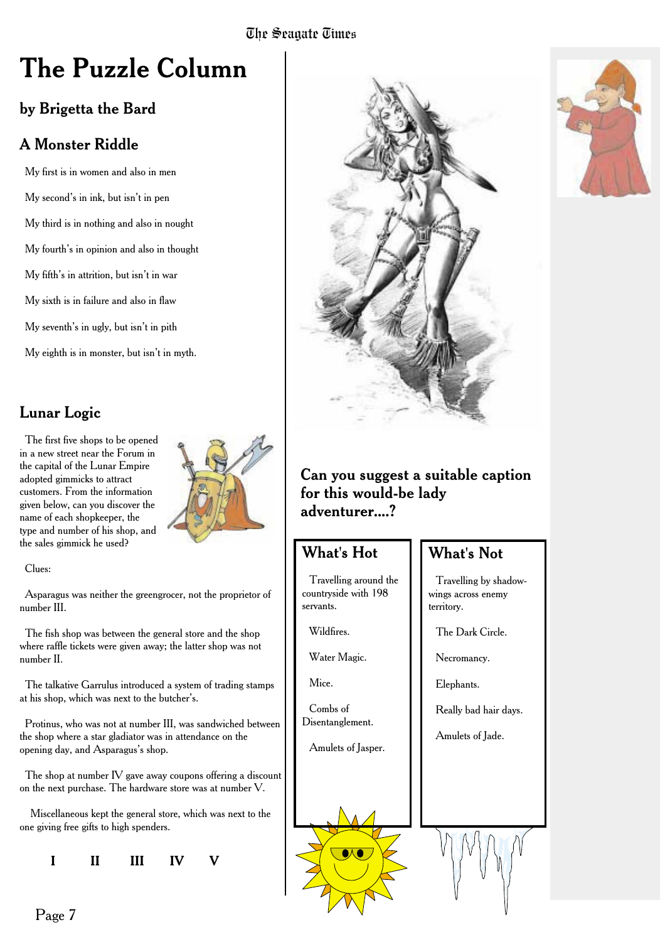### **The Puzzle Column**

### by Brigetta the Bard

### A Monster Riddle

My first is in women and also in men My second's in ink, but isn't in pen My third is in nothing and also in nought My fourth's in opinion and also in thought My fifth's in attrition, but isn't in war My sixth is in failure and also in flaw My seventh's in ugly, but isn't in pith My eighth is in monster, but isn't in myth.

### Lunar Logic

The first five shops to be opened in a new street near the Forum in the capital of the Lunar Empire adopted gimmicks to attract customers. From the information given below, can you discover the name of each shopkeeper, the type and number of his shop, and the sales gimmick he used?



#### Clues:

Asparagus was neither the greengrocer, not the proprietor of number III.

The fish shop was between the general store and the shop where raffle tickets were given away; the latter shop was not number II.

The talkative Garrulus introduced a system of trading stamps at his shop, which was next to the butcher's.

Protinus, who was not at number III, was sandwiched between the shop where a star gladiator was in attendance on the opening day, and Asparagus's shop.

The shop at number IV gave away coupons offering a discount on the next purchase. The hardware store was at number V.

Miscellaneous kept the general store, which was next to the one giving free gifts to high spenders.

**I II III IV V**



#### Can you suggest a suitable caption for this would-be lady adventurer....?

### What's Hot

Travelling around the countryside with 198 servants.

Wildfires.

Water Magic.

Mice.

Combs of Disentanglement.

Amulets of Jasper.

### What's Not

Travelling by shadowwings across enemy territory.

The Dark Circle.

Necromancy.

Elephants.

Really bad hair days.

Amulets of Jade.